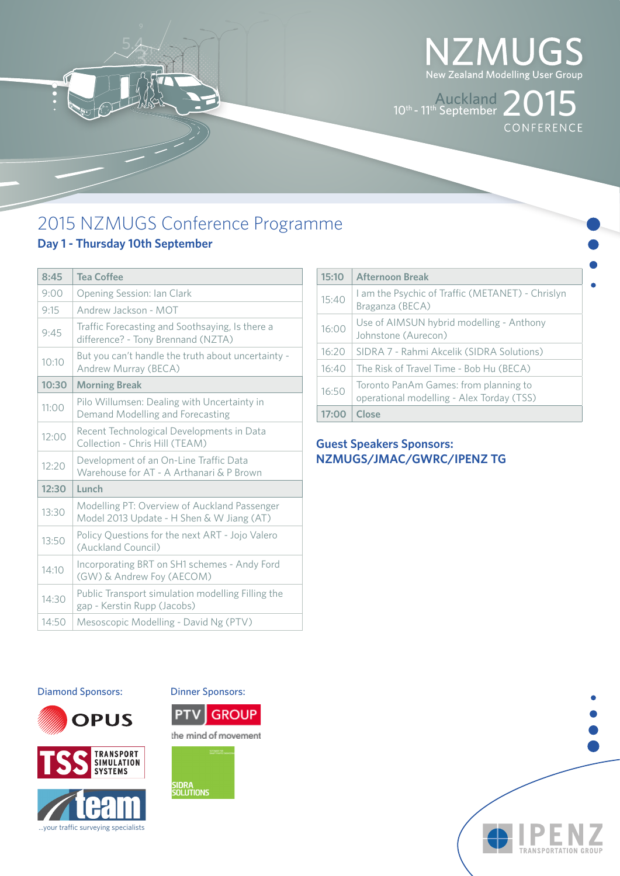

 $10^{\text{th}}$ - 11<sup>th</sup> September 2015

# 2015 NZMUGS Conference Programme

# **Day 1 - Thursday 10th September**

3

| 8:45  | <b>Tea Coffee</b>                                                                         |
|-------|-------------------------------------------------------------------------------------------|
| 9:00  | Opening Session: Ian Clark                                                                |
| 9:15  | Andrew Jackson - MOT                                                                      |
| 9:45  | Traffic Forecasting and Soothsaying, Is there a<br>difference? - Tony Brennand (NZTA)     |
| 10:10 | But you can't handle the truth about uncertainty -<br>Andrew Murray (BECA)                |
| 10:30 | <b>Morning Break</b>                                                                      |
| 11:00 | Pilo Willumsen: Dealing with Uncertainty in<br>Demand Modelling and Forecasting           |
| 12:00 | Recent Technological Developments in Data<br>Collection - Chris Hill (TEAM)               |
| 12:20 | Development of an On-Line Traffic Data<br>Warehouse for AT - A Arthanari & P Brown        |
| 12:30 | Lunch                                                                                     |
| 13:30 | Modelling PT: Overview of Auckland Passenger<br>Model 2013 Update - H Shen & W Jiang (AT) |
| 13:50 | Policy Questions for the next ART - Jojo Valero<br>(Auckland Council)                     |
| 14:10 | Incorporating BRT on SH1 schemes - Andy Ford<br>(GW) & Andrew Foy (AECOM)                 |
| 14:30 | Public Transport simulation modelling Filling the<br>gap - Kerstin Rupp (Jacobs)          |
| 14:50 | Mesoscopic Modelling - David Ng (PTV)                                                     |

| 15:10 | <b>Afternoon Break</b>                                                             |
|-------|------------------------------------------------------------------------------------|
| 15:40 | Lam the Psychic of Traffic (METANET) - Chrislyn<br>Braganza (BECA)                 |
| 16:00 | Use of AIMSUN hybrid modelling - Anthony<br>Johnstone (Aurecon)                    |
| 16:20 | SIDRA 7 - Rahmi Akcelik (SIDRA Solutions)                                          |
| 16:40 | The Risk of Travel Time - Bob Hu (BECA)                                            |
| 16:50 | Toronto PanAm Games: from planning to<br>operational modelling - Alex Torday (TSS) |
| 17:00 | Close                                                                              |

### **Guest Speakers Sponsors: NZMUGS/JMAC/GWRC/IPENZ TG**

#### Diamond Sponsors: